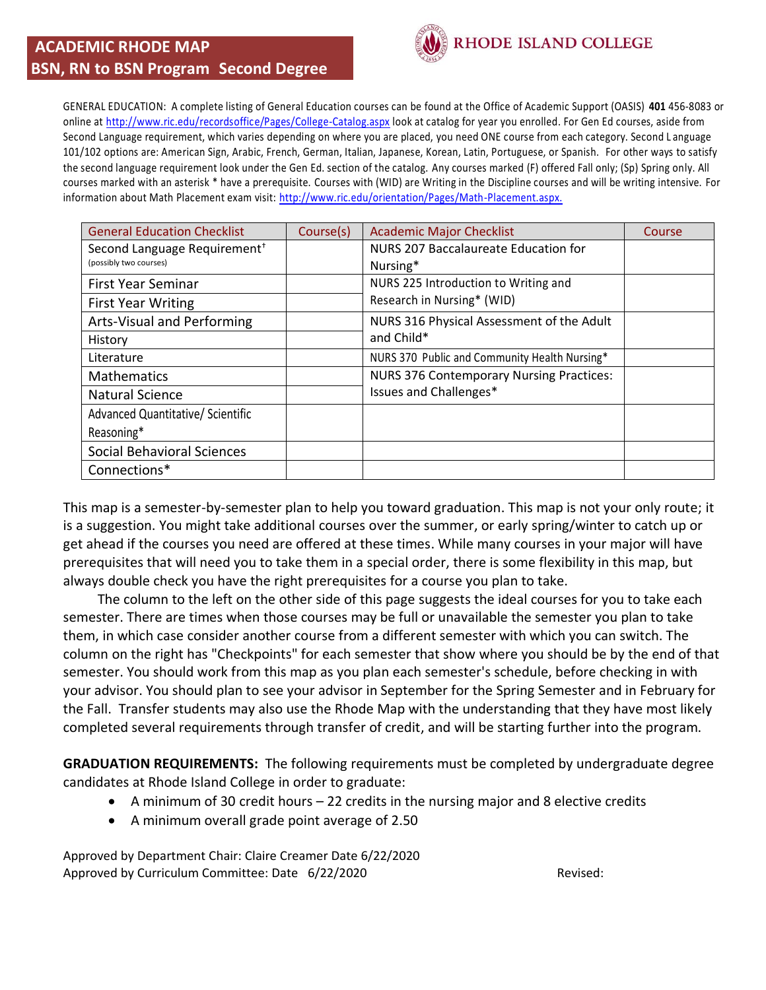## **ACADEMIC RHODE MAP BSN, RN to BSN Program Second Degree**



GENERAL EDUCATION: A complete listing of General Education courses can be found at the Office of Academic Support (OASIS) **401** 456-8083 or online a[t http://www.ric.edu/recordsoffice/Pages/College-Catalog.aspx](http://www.ric.edu/recordsoffice/Pages/College-Catalog.aspx) look at catalog for year you enrolled. For Gen Ed courses, aside from Second Language requirement, which varies depending on where you are placed, you need ONE course from each category. Second L anguage 101/102 options are: American Sign, Arabic, French, German, Italian, Japanese, Korean, Latin, Portuguese, or Spanish. For other ways to satisfy the second language requirement look under the Gen Ed. section of the catalog. Any courses marked (F) offered Fall only; (Sp) Spring only. All courses marked with an asterisk \* have a prerequisite. Courses with (WID) are Writing in the Discipline courses and will be writing intensive. For information about Math Placement exam visit: [http://www.ric.edu/orientation/Pages/Math-Placement.aspx.](http://www.ric.edu/orientation/Pages/Math-Placement.aspx) 

| <b>General Education Checklist</b>       | Course(s) | <b>Academic Major Checklist</b>                 | Course |
|------------------------------------------|-----------|-------------------------------------------------|--------|
| Second Language Requirement <sup>+</sup> |           | NURS 207 Baccalaureate Education for            |        |
| (possibly two courses)                   |           | Nursing*                                        |        |
| <b>First Year Seminar</b>                |           | NURS 225 Introduction to Writing and            |        |
| <b>First Year Writing</b>                |           | Research in Nursing* (WID)                      |        |
| Arts-Visual and Performing               |           | NURS 316 Physical Assessment of the Adult       |        |
| History                                  |           | and Child*                                      |        |
| Literature                               |           | NURS 370 Public and Community Health Nursing*   |        |
| <b>Mathematics</b>                       |           | <b>NURS 376 Contemporary Nursing Practices:</b> |        |
| <b>Natural Science</b>                   |           | Issues and Challenges*                          |        |
| Advanced Quantitative/ Scientific        |           |                                                 |        |
| Reasoning*                               |           |                                                 |        |
| <b>Social Behavioral Sciences</b>        |           |                                                 |        |
| Connections*                             |           |                                                 |        |

This map is a semester-by-semester plan to help you toward graduation. This map is not your only route; it is a suggestion. You might take additional courses over the summer, or early spring/winter to catch up or get ahead if the courses you need are offered at these times. While many courses in your major will have prerequisites that will need you to take them in a special order, there is some flexibility in this map, but always double check you have the right prerequisites for a course you plan to take.

 The column to the left on the other side of this page suggests the ideal courses for you to take each semester. There are times when those courses may be full or unavailable the semester you plan to take them, in which case consider another course from a different semester with which you can switch. The column on the right has "Checkpoints" for each semester that show where you should be by the end of that semester. You should work from this map as you plan each semester's schedule, before checking in with your advisor. You should plan to see your advisor in September for the Spring Semester and in February for the Fall. Transfer students may also use the Rhode Map with the understanding that they have most likely completed several requirements through transfer of credit, and will be starting further into the program.

**GRADUATION REQUIREMENTS:** The following requirements must be completed by undergraduate degree candidates at Rhode Island College in order to graduate:

- A minimum of 30 credit hours 22 credits in the nursing major and 8 elective credits
- A minimum overall grade point average of 2.50

Approved by Department Chair: Claire Creamer Date 6/22/2020 Approved by Curriculum Committee: Date 6/22/2020 **Revised:** Revised: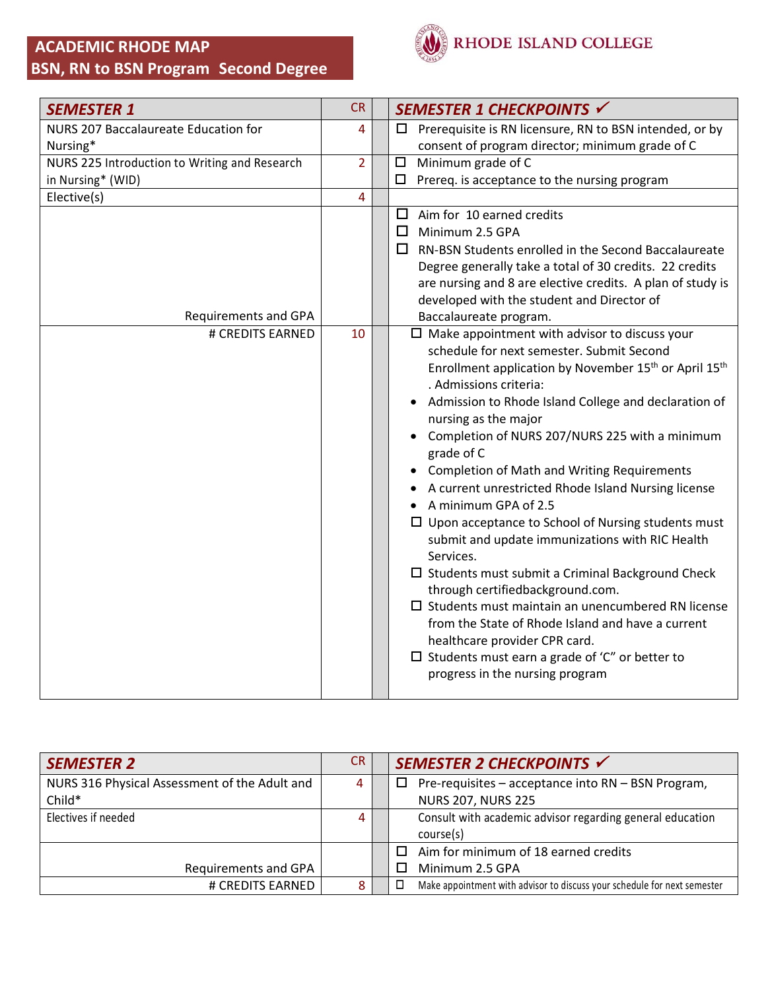## **ACADEMIC RHODE MAP BSN, RN to BSN Program Second Degree**



| <b>SEMESTER 1</b>                             | <b>CR</b>      | SEMESTER 1 CHECKPOINTS √                                                      |
|-----------------------------------------------|----------------|-------------------------------------------------------------------------------|
| NURS 207 Baccalaureate Education for          | 4              | Prerequisite is RN licensure, RN to BSN intended, or by<br>□                  |
| Nursing*                                      |                | consent of program director; minimum grade of C                               |
| NURS 225 Introduction to Writing and Research | $\overline{2}$ | Minimum grade of C<br>$\Box$                                                  |
| in Nursing* (WID)                             |                | $\Box$<br>Prereq. is acceptance to the nursing program                        |
| Elective(s)                                   | 4              |                                                                               |
|                                               |                | $\Box$ Aim for 10 earned credits                                              |
|                                               |                | $\Box$ Minimum 2.5 GPA                                                        |
|                                               |                | $\Box$ RN-BSN Students enrolled in the Second Baccalaureate                   |
|                                               |                | Degree generally take a total of 30 credits. 22 credits                       |
|                                               |                | are nursing and 8 are elective credits. A plan of study is                    |
|                                               |                | developed with the student and Director of                                    |
| <b>Requirements and GPA</b>                   |                | Baccalaureate program.                                                        |
| # CREDITS EARNED                              | 10             | $\Box$ Make appointment with advisor to discuss your                          |
|                                               |                | schedule for next semester. Submit Second                                     |
|                                               |                | Enrollment application by November 15 <sup>th</sup> or April 15 <sup>th</sup> |
|                                               |                | . Admissions criteria:                                                        |
|                                               |                | • Admission to Rhode Island College and declaration of                        |
|                                               |                | nursing as the major                                                          |
|                                               |                | Completion of NURS 207/NURS 225 with a minimum<br>grade of C                  |
|                                               |                | <b>Completion of Math and Writing Requirements</b>                            |
|                                               |                | A current unrestricted Rhode Island Nursing license                           |
|                                               |                | A minimum GPA of 2.5                                                          |
|                                               |                | $\Box$ Upon acceptance to School of Nursing students must                     |
|                                               |                | submit and update immunizations with RIC Health<br>Services.                  |
|                                               |                | $\Box$ Students must submit a Criminal Background Check                       |
|                                               |                | through certifiedbackground.com.                                              |
|                                               |                | $\square$ Students must maintain an unencumbered RN license                   |
|                                               |                | from the State of Rhode Island and have a current                             |
|                                               |                | healthcare provider CPR card.                                                 |
|                                               |                | $\Box$ Students must earn a grade of 'C" or better to                         |
|                                               |                | progress in the nursing program                                               |
|                                               |                |                                                                               |

| <b>SEMESTER 2</b>                             | CR. | SEMESTER 2 CHECKPOINTS √                                                 |
|-----------------------------------------------|-----|--------------------------------------------------------------------------|
| NURS 316 Physical Assessment of the Adult and | 4   | Pre-requisites - acceptance into RN - BSN Program,<br>□                  |
| Child*                                        |     | <b>NURS 207, NURS 225</b>                                                |
| Electives if needed                           | 4   | Consult with academic advisor regarding general education                |
|                                               |     | course(s)                                                                |
|                                               |     | Aim for minimum of 18 earned credits                                     |
| Requirements and GPA                          |     | Minimum 2.5 GPA                                                          |
| # CREDITS EARNED                              | 8   | Make appointment with advisor to discuss your schedule for next semester |